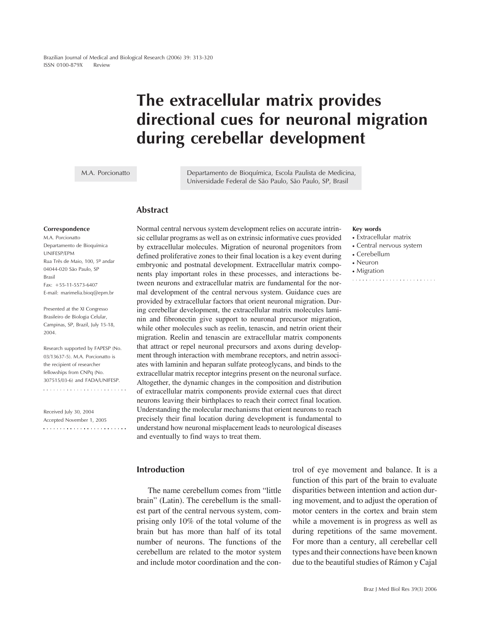# **The extracellular matrix provides directional cues for neuronal migration during cerebellar development**

M.A. Porcionatto

Departamento de Bioquímica, Escola Paulista de Medicina, Universidade Federal de São Paulo, São Paulo, SP, Brasil

### **Abstract**

#### **Correspondence**

M.A. Porcionatto Departamento de Bioquímica UNIFESP/EPM Rua Três de Maio, 100, 5º andar 04044-020 São Paulo, SP Brasil  $Fax: +55-11-5573-6407$ E-mail: marimelia.bioq@epm.br

Presented at the XI Congresso Brasileiro de Biologia Celular, Campinas, SP, Brazil, July 15-18, 2004.

Research supported by FAPESP (No. 03/13637-5). M.A. Porcionatto is the recipient of researcher fellowships from CNPq (No. 307515/03-6) and FADA/UNIFESP.

Received July 30, 2004 Accepted November 1, 2005  Normal central nervous system development relies on accurate intrinsic cellular programs as well as on extrinsic informative cues provided by extracellular molecules. Migration of neuronal progenitors from defined proliferative zones to their final location is a key event during embryonic and postnatal development. Extracellular matrix components play important roles in these processes, and interactions between neurons and extracellular matrix are fundamental for the normal development of the central nervous system. Guidance cues are provided by extracellular factors that orient neuronal migration. During cerebellar development, the extracellular matrix molecules laminin and fibronectin give support to neuronal precursor migration, while other molecules such as reelin, tenascin, and netrin orient their migration. Reelin and tenascin are extracellular matrix components that attract or repel neuronal precursors and axons during development through interaction with membrane receptors, and netrin associates with laminin and heparan sulfate proteoglycans, and binds to the extracellular matrix receptor integrins present on the neuronal surface. Altogether, the dynamic changes in the composition and distribution of extracellular matrix components provide external cues that direct neurons leaving their birthplaces to reach their correct final location. Understanding the molecular mechanisms that orient neurons to reach precisely their final location during development is fundamental to understand how neuronal misplacement leads to neurological diseases and eventually to find ways to treat them.

#### **Key words**

- Extracellular matrix
- Central nervous system

- Cerebellum
- Neuron
- Migration

**Introduction**

The name cerebellum comes from "little brain" (Latin). The cerebellum is the smallest part of the central nervous system, comprising only 10% of the total volume of the brain but has more than half of its total number of neurons. The functions of the cerebellum are related to the motor system and include motor coordination and the control of eye movement and balance. It is a function of this part of the brain to evaluate disparities between intention and action during movement, and to adjust the operation of motor centers in the cortex and brain stem while a movement is in progress as well as during repetitions of the same movement. For more than a century, all cerebellar cell types and their connections have been known due to the beautiful studies of Rámon y Cajal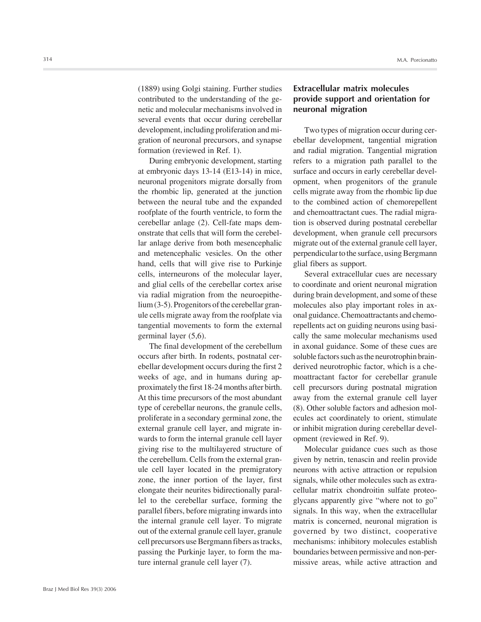(1889) using Golgi staining. Further studies contributed to the understanding of the genetic and molecular mechanisms involved in several events that occur during cerebellar development, including proliferation and migration of neuronal precursors, and synapse formation (reviewed in Ref. 1).

During embryonic development, starting at embryonic days 13-14 (E13-14) in mice, neuronal progenitors migrate dorsally from the rhombic lip, generated at the junction between the neural tube and the expanded roofplate of the fourth ventricle, to form the cerebellar anlage (2). Cell-fate maps demonstrate that cells that will form the cerebellar anlage derive from both mesencephalic and metencephalic vesicles. On the other hand, cells that will give rise to Purkinje cells, interneurons of the molecular layer, and glial cells of the cerebellar cortex arise via radial migration from the neuroepithelium (3-5). Progenitors of the cerebellar granule cells migrate away from the roofplate via tangential movements to form the external germinal layer (5,6).

The final development of the cerebellum occurs after birth. In rodents, postnatal cerebellar development occurs during the first 2 weeks of age, and in humans during approximately the first 18-24 months after birth. At this time precursors of the most abundant type of cerebellar neurons, the granule cells, proliferate in a secondary germinal zone, the external granule cell layer, and migrate inwards to form the internal granule cell layer giving rise to the multilayered structure of the cerebellum. Cells from the external granule cell layer located in the premigratory zone, the inner portion of the layer, first elongate their neurites bidirectionally parallel to the cerebellar surface, forming the parallel fibers, before migrating inwards into the internal granule cell layer. To migrate out of the external granule cell layer, granule cell precursors use Bergmann fibers as tracks, passing the Purkinje layer, to form the mature internal granule cell layer (7).

# **Extracellular matrix molecules provide support and orientation for neuronal migration**

Two types of migration occur during cerebellar development, tangential migration and radial migration. Tangential migration refers to a migration path parallel to the surface and occurs in early cerebellar development, when progenitors of the granule cells migrate away from the rhombic lip due to the combined action of chemorepellent and chemoattractant cues. The radial migration is observed during postnatal cerebellar development, when granule cell precursors migrate out of the external granule cell layer, perpendicular to the surface, using Bergmann glial fibers as support.

Several extracellular cues are necessary to coordinate and orient neuronal migration during brain development, and some of these molecules also play important roles in axonal guidance. Chemoattractants and chemorepellents act on guiding neurons using basically the same molecular mechanisms used in axonal guidance. Some of these cues are soluble factors such as the neurotrophin brainderived neurotrophic factor, which is a chemoattractant factor for cerebellar granule cell precursors during postnatal migration away from the external granule cell layer (8). Other soluble factors and adhesion molecules act coordinately to orient, stimulate or inhibit migration during cerebellar development (reviewed in Ref. 9).

Molecular guidance cues such as those given by netrin, tenascin and reelin provide neurons with active attraction or repulsion signals, while other molecules such as extracellular matrix chondroitin sulfate proteoglycans apparently give "where not to go" signals. In this way, when the extracellular matrix is concerned, neuronal migration is governed by two distinct, cooperative mechanisms: inhibitory molecules establish boundaries between permissive and non-permissive areas, while active attraction and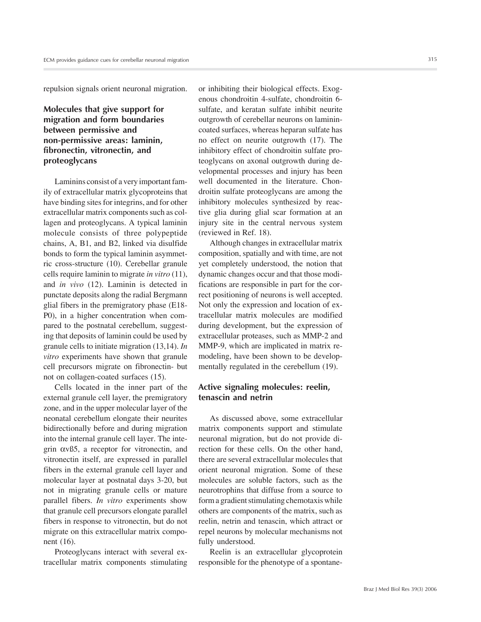repulsion signals orient neuronal migration.

## **Molecules that give support for migration and form boundaries between permissive and non-permissive areas: laminin, fibronectin, vitronectin, and proteoglycans**

Laminins consist of a very important family of extracellular matrix glycoproteins that have binding sites for integrins, and for other extracellular matrix components such as collagen and proteoglycans. A typical laminin molecule consists of three polypeptide chains, A, B1, and B2, linked via disulfide bonds to form the typical laminin asymmetric cross-structure (10). Cerebellar granule cells require laminin to migrate *in vitro* (11), and *in vivo* (12). Laminin is detected in punctate deposits along the radial Bergmann glial fibers in the premigratory phase (E18- P0), in a higher concentration when compared to the postnatal cerebellum, suggesting that deposits of laminin could be used by granule cells to initiate migration (13,14). *In vitro* experiments have shown that granule cell precursors migrate on fibronectin- but not on collagen-coated surfaces (15).

Cells located in the inner part of the external granule cell layer, the premigratory zone, and in the upper molecular layer of the neonatal cerebellum elongate their neurites bidirectionally before and during migration into the internal granule cell layer. The integrin αvß5, a receptor for vitronectin, and vitronectin itself, are expressed in parallel fibers in the external granule cell layer and molecular layer at postnatal days 3-20, but not in migrating granule cells or mature parallel fibers. *In vitro* experiments show that granule cell precursors elongate parallel fibers in response to vitronectin, but do not migrate on this extracellular matrix component (16).

Proteoglycans interact with several extracellular matrix components stimulating or inhibiting their biological effects. Exogenous chondroitin 4-sulfate, chondroitin 6 sulfate, and keratan sulfate inhibit neurite outgrowth of cerebellar neurons on laminincoated surfaces, whereas heparan sulfate has no effect on neurite outgrowth (17). The inhibitory effect of chondroitin sulfate proteoglycans on axonal outgrowth during developmental processes and injury has been well documented in the literature. Chondroitin sulfate proteoglycans are among the inhibitory molecules synthesized by reactive glia during glial scar formation at an injury site in the central nervous system (reviewed in Ref. 18).

Although changes in extracellular matrix composition, spatially and with time, are not yet completely understood, the notion that dynamic changes occur and that those modifications are responsible in part for the correct positioning of neurons is well accepted. Not only the expression and location of extracellular matrix molecules are modified during development, but the expression of extracellular proteases, such as MMP-2 and MMP-9, which are implicated in matrix remodeling, have been shown to be developmentally regulated in the cerebellum (19).

## **Active signaling molecules: reelin, tenascin and netrin**

As discussed above, some extracellular matrix components support and stimulate neuronal migration, but do not provide direction for these cells. On the other hand, there are several extracellular molecules that orient neuronal migration. Some of these molecules are soluble factors, such as the neurotrophins that diffuse from a source to form a gradient stimulating chemotaxis while others are components of the matrix, such as reelin, netrin and tenascin, which attract or repel neurons by molecular mechanisms not fully understood.

Reelin is an extracellular glycoprotein responsible for the phenotype of a spontane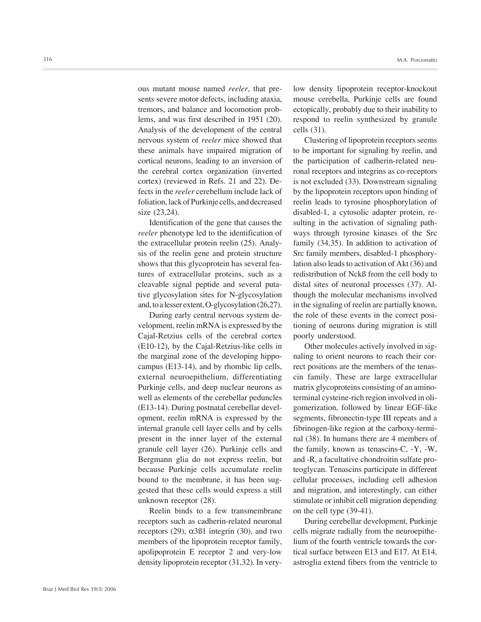ous mutant mouse named *reeler*, that presents severe motor defects, including ataxia, tremors, and balance and locomotion problems, and was first described in 1951 (20). Analysis of the development of the central nervous system of *reeler* mice showed that these animals have impaired migration of cortical neurons, leading to an inversion of the cerebral cortex organization (inverted cortex) (reviewed in Refs. 21 and 22). Defects in the *reeler* cerebellum include lack of foliation, lack of Purkinje cells, and decreased size (23,24).

Identification of the gene that causes the *reeler* phenotype led to the identification of the extracellular protein reelin (25). Analysis of the reelin gene and protein structure shows that this glycoprotein has several features of extracellular proteins, such as a cleavable signal peptide and several putative glycosylation sites for N-glycosylation and, to a lesser extent, O-glycosylation (26,27).

During early central nervous system development, reelin mRNA is expressed by the Cajal-Retzius cells of the cerebral cortex (E10-12), by the Cajal-Retzius-like cells in the marginal zone of the developing hippocampus (E13-14), and by rhombic lip cells, external neuroepithelium, differentiating Purkinje cells, and deep nuclear neurons as well as elements of the cerebellar peduncles (E13-14). During postnatal cerebellar development, reelin mRNA is expressed by the internal granule cell layer cells and by cells present in the inner layer of the external granule cell layer (26). Purkinje cells and Bergmann glia do not express reelin, but because Purkinje cells accumulate reelin bound to the membrane, it has been suggested that these cells would express a still unknown receptor (28).

Reelin binds to a few transmembrane receptors such as cadherin-related neuronal receptors (29),  $\alpha$ 3ß1 integrin (30), and two members of the lipoprotein receptor family, apolipoprotein E receptor 2 and very-low density lipoprotein receptor (31,32). In verylow density lipoprotein receptor-knockout mouse cerebella, Purkinje cells are found ectopically, probably due to their inability to respond to reelin synthesized by granule cells (31).

Clustering of lipoprotein receptors seems to be important for signaling by reelin, and the participation of cadherin-related neuronal receptors and integrins as co-receptors is not excluded (33). Downstream signaling by the lipoprotein receptors upon binding of reelin leads to tyrosine phosphorylation of disabled-1, a cytosolic adapter protein, resulting in the activation of signaling pathways through tyrosine kinases of the Src family (34,35). In addition to activation of Src family members, disabled-1 phosphorylation also leads to activation of Akt (36) and redistribution of Nckß from the cell body to distal sites of neuronal processes (37). Although the molecular mechanisms involved in the signaling of reelin are partially known, the role of these events in the correct positioning of neurons during migration is still poorly understood.

Other molecules actively involved in signaling to orient neurons to reach their correct positions are the members of the tenascin family. These are large extracellular matrix glycoproteins consisting of an aminoterminal cysteine-rich region involved in oligomerization, followed by linear EGF-like segments, fibronectin-type III repeats and a fibrinogen-like region at the carboxy-terminal (38). In humans there are 4 members of the family, known as tenascins-C, -Y, -W, and -R, a facultative chondroitin sulfate proteoglycan. Tenascins participate in different cellular processes, including cell adhesion and migration, and interestingly, can either stimulate or inhibit cell migration depending on the cell type (39-41).

During cerebellar development, Purkinje cells migrate radially from the neuroepithelium of the fourth ventricle towards the cortical surface between E13 and E17. At E14, astroglia extend fibers from the ventricle to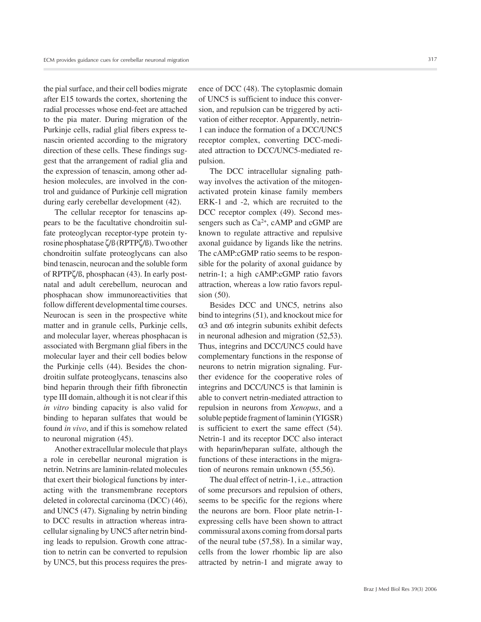the pial surface, and their cell bodies migrate after E15 towards the cortex, shortening the radial processes whose end-feet are attached to the pia mater. During migration of the Purkinje cells, radial glial fibers express tenascin oriented according to the migratory direction of these cells. These findings suggest that the arrangement of radial glia and the expression of tenascin, among other adhesion molecules, are involved in the control and guidance of Purkinje cell migration during early cerebellar development (42).

The cellular receptor for tenascins appears to be the facultative chondroitin sulfate proteoglycan receptor-type protein tyrosine phosphatase ζ/ß (RPTPζ/ß). Two other chondroitin sulfate proteoglycans can also bind tenascin, neurocan and the soluble form of RPTPζ/ß, phosphacan (43). In early postnatal and adult cerebellum, neurocan and phosphacan show immunoreactivities that follow different developmental time courses. Neurocan is seen in the prospective white matter and in granule cells, Purkinje cells, and molecular layer, whereas phosphacan is associated with Bergmann glial fibers in the molecular layer and their cell bodies below the Purkinje cells (44). Besides the chondroitin sulfate proteoglycans, tenascins also bind heparin through their fifth fibronectin type III domain, although it is not clear if this *in vitro* binding capacity is also valid for binding to heparan sulfates that would be found *in vivo*, and if this is somehow related to neuronal migration (45).

Another extracellular molecule that plays a role in cerebellar neuronal migration is netrin. Netrins are laminin-related molecules that exert their biological functions by interacting with the transmembrane receptors deleted in colorectal carcinoma (DCC) (46), and UNC5 (47). Signaling by netrin binding to DCC results in attraction whereas intracellular signaling by UNC5 after netrin binding leads to repulsion. Growth cone attraction to netrin can be converted to repulsion by UNC5, but this process requires the presence of DCC (48). The cytoplasmic domain of UNC5 is sufficient to induce this conversion, and repulsion can be triggered by activation of either receptor. Apparently, netrin-1 can induce the formation of a DCC/UNC5 receptor complex, converting DCC-mediated attraction to DCC/UNC5-mediated repulsion.

The DCC intracellular signaling pathway involves the activation of the mitogenactivated protein kinase family members ERK-1 and -2, which are recruited to the DCC receptor complex (49). Second messengers such as  $Ca^{2+}$ , cAMP and cGMP are known to regulate attractive and repulsive axonal guidance by ligands like the netrins. The cAMP:cGMP ratio seems to be responsible for the polarity of axonal guidance by netrin-1; a high cAMP:cGMP ratio favors attraction, whereas a low ratio favors repulsion (50).

Besides DCC and UNC5, netrins also bind to integrins (51), and knockout mice for α3 and α6 integrin subunits exhibit defects in neuronal adhesion and migration (52,53). Thus, integrins and DCC/UNC5 could have complementary functions in the response of neurons to netrin migration signaling. Further evidence for the cooperative roles of integrins and DCC/UNC5 is that laminin is able to convert netrin-mediated attraction to repulsion in neurons from *Xenopus*, and a soluble peptide fragment of laminin (YIGSR) is sufficient to exert the same effect (54). Netrin-1 and its receptor DCC also interact with heparin/heparan sulfate, although the functions of these interactions in the migration of neurons remain unknown (55,56).

The dual effect of netrin-1, i.e., attraction of some precursors and repulsion of others, seems to be specific for the regions where the neurons are born. Floor plate netrin-1 expressing cells have been shown to attract commissural axons coming from dorsal parts of the neural tube (57,58). In a similar way, cells from the lower rhombic lip are also attracted by netrin-1 and migrate away to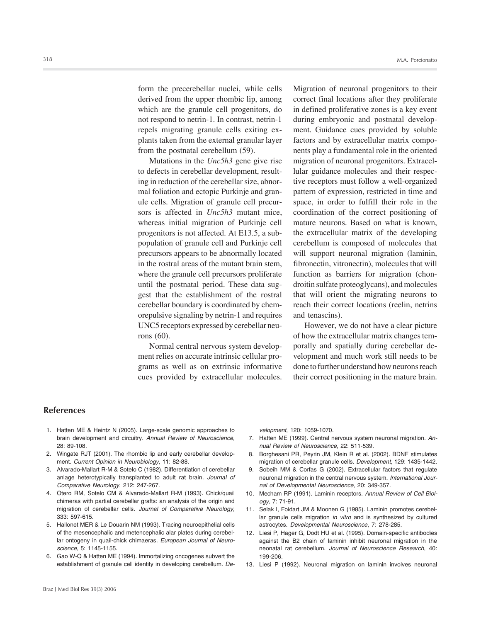form the precerebellar nuclei, while cells derived from the upper rhombic lip, among which are the granule cell progenitors, do not respond to netrin-1. In contrast, netrin-1 repels migrating granule cells exiting explants taken from the external granular layer from the postnatal cerebellum (59).

Mutations in the *Unc5h3* gene give rise to defects in cerebellar development, resulting in reduction of the cerebellar size, abnormal foliation and ectopic Purkinje and granule cells. Migration of granule cell precursors is affected in *Unc5h3* mutant mice, whereas initial migration of Purkinje cell progenitors is not affected. At E13.5, a subpopulation of granule cell and Purkinje cell precursors appears to be abnormally located in the rostral areas of the mutant brain stem, where the granule cell precursors proliferate until the postnatal period. These data suggest that the establishment of the rostral cerebellar boundary is coordinated by chemorepulsive signaling by netrin-1 and requires UNC5 receptors expressed by cerebellar neurons (60).

Normal central nervous system development relies on accurate intrinsic cellular programs as well as on extrinsic informative cues provided by extracellular molecules. Migration of neuronal progenitors to their correct final locations after they proliferate in defined proliferative zones is a key event during embryonic and postnatal development. Guidance cues provided by soluble factors and by extracellular matrix components play a fundamental role in the oriented migration of neuronal progenitors. Extracellular guidance molecules and their respective receptors must follow a well-organized pattern of expression, restricted in time and space, in order to fulfill their role in the coordination of the correct positioning of mature neurons. Based on what is known, the extracellular matrix of the developing cerebellum is composed of molecules that will support neuronal migration (laminin, fibronectin, vitronectin), molecules that will function as barriers for migration (chondroitin sulfate proteoglycans), and molecules that will orient the migrating neurons to reach their correct locations (reelin, netrins and tenascins).

However, we do not have a clear picture of how the extracellular matrix changes temporally and spatially during cerebellar development and much work still needs to be done to further understand how neurons reach their correct positioning in the mature brain.

#### **References**

- 1. Hatten ME & Heintz N (2005). Large-scale genomic approaches to brain development and circuitry. *Annual Review of Neuroscience*, 28: 89-108.
- 2. Wingate RJT (2001). The rhombic lip and early cerebellar development. *Current Opinion in Neurobiology*, 11: 82-88.
- 3. Alvarado-Mallart R-M & Sotelo C (1982). Differentiation of cerebellar anlage heterotypically transplanted to adult rat brain. *Journal of Comparative Neurology*, 212: 247-267.
- 4. Otero RM, Sotelo CM & Alvarado-Mallart R-M (1993). Chick/quail chimeras with partial cerebellar grafts: an analysis of the origin and migration of cerebellar cells. *Journal of Comparative Neurology*, 333: 597-615.
- 5. Hallonet MER & Le Douarin NM (1993). Tracing neuroepithelial cells of the mesencephalic and metencephalic alar plates during cerebellar ontogeny in quail-chick chimaeras. *European Journal of Neuroscience*, 5: 1145-1155.
- 6. Gao W-Q & Hatten ME (1994). Immortalizing oncogenes subvert the establishment of granule cell identity in developing cerebellum. *De-*

*velopment*, 120: 1059-1070.

- 7. Hatten ME (1999). Central nervous system neuronal migration. *Annual Review of Neuroscience*, 22: 511-539.
- 8. Borghesani PR, Peyrin JM, Klein R et al. (2002). BDNF stimulates migration of cerebellar granule cells. *Development*, 129: 1435-1442.
- 9. Sobeih MM & Corfas G (2002). Extracellular factors that regulate neuronal migration in the central nervous system. *International Journal of Developmental Neuroscience*, 20: 349-357.
- 10. Mecham RP (1991). Laminin receptors. *Annual Review of Cell Biology*, 7: 71-91.
- 11. Selak I, Foidart JM & Moonen G (1985). Laminin promotes cerebellar granule cells migration *in vitro* and is synthesized by cultured astrocytes. *Developmental Neuroscience*, 7: 278-285.
- 12. Liesi P, Hager G, Dodt HU et al. (1995). Domain-specific antibodies against the B2 chain of laminin inhibit neuronal migration in the neonatal rat cerebellum. *Journal of Neuroscience Research*, 40: 199-206.
- 13. Liesi P (1992). Neuronal migration on laminin involves neuronal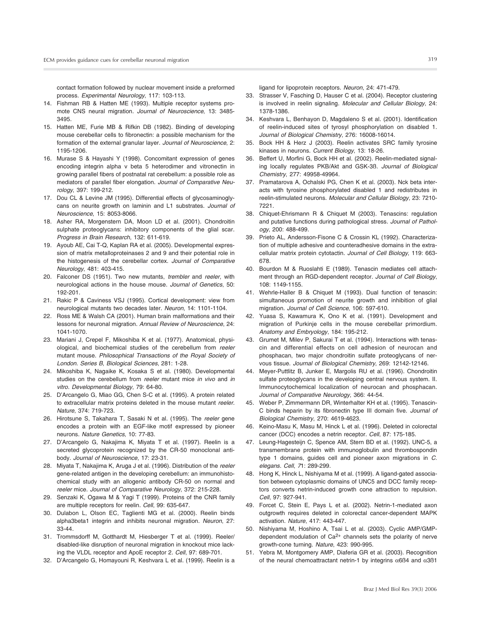contact formation followed by nuclear movement inside a preformed process. *Experimental Neurology*, 117: 103-113.

- 14. Fishman RB & Hatten ME (1993). Multiple receptor systems promote CNS neural migration. *Journal of Neuroscience*, 13: 3485- 3495.
- 15. Hatten ME, Furie MB & Rifkin DB (1982). Binding of developing mouse cerebellar cells to fibronectin: a possible mechanism for the formation of the external granular layer. *Journal of Neuroscience*, 2: 1195-1206.
- 16. Murase S & Hayashi Y (1998). Concomitant expression of genes encoding integrin alpha v beta 5 heterodimer and vitronectin in growing parallel fibers of postnatal rat cerebellum: a possible role as mediators of parallel fiber elongation. *Journal of Comparative Neurology*, 397: 199-212.
- 17. Dou CL & Levine JM (1995). Differential effects of glycosaminoglycans on neurite growth on laminin and L1 substrates. *Journal of Neuroscience*, 15: 8053-8066.
- 18. Asher RA, Morgenstern DA, Moon LD et al. (2001). Chondroitin sulphate proteoglycans: inhibitory components of the glial scar. *Progress in Brain Research*, 132: 611-619.
- 19. Ayoub AE, Cai T-Q, Kaplan RA et al. (2005). Developmental expression of matrix metalloproteinases 2 and 9 and their potential role in the histogenesis of the cerebellar cortex. *Journal of Comparative Neurology*, 481: 403-415.
- 20. Falconer DS (1951). Two new mutants, *trembler* and *reeler*, with neurological actions in the house mouse. *Journal of Genetics*, 50: 192-201.
- 21. Rakic P & Caviness VSJ (1995). Cortical development: view from neurological mutants two decades later. *Neuron*, 14: 1101-1104.
- 22. Ross ME & Walsh CA (2001). Human brain malformations and their lessons for neuronal migration. *Annual Review of Neuroscience*, 24: 1041-1070.
- 23. Mariani J, Crepel F, Mikoshiba K et al. (1977). Anatomical, physiological, and biochemical studies of the cerebellum from *reeler* mutant mouse. *Philosophical Transactions of the Royal Society of London. Series B*, *Biological Sciences*, 281: 1-28.
- 24. Mikoshiba K, Nagaike K, Kosaka S et al. (1980). Developmental studies on the cerebellum from *reeler* mutant mice *in vivo* and *in vitro*. *Developmental Biology*, 79: 64-80.
- 25. D'Arcangelo G, Miao GG, Chen S-C et al. (1995). A protein related to extracellular matrix proteins deleted in the mouse mutant *reeler*. *Nature*, 374: 719-723.
- 26. Hirotsune S, Takahara T, Sasaki N et al. (1995). The *reeler* gene encodes a protein with an EGF-like motif expressed by pioneer neurons. *Nature Genetics*, 10: 77-83.
- 27. D'Arcangelo G, Nakajima K, Miyata T et al. (1997). Reelin is a secreted glycoprotein recognized by the CR-50 monoclonal antibody. *Journal of Neuroscience*, 17: 23-31.
- 28. Miyata T, Nakajima K, Aruga J et al. (1996). Distribution of the *reeler* gene-related antigen in the developing cerebellum: an immunohistochemical study with an allogenic antibody CR-50 on normal and *reeler* mice. *Journal of Comparative Neurology*, 372: 215-228.
- 29. Senzaki K, Ogawa M & Yagi T (1999). Proteins of the CNR family are multiple receptors for reelin. *Cell*, 99: 635-647.
- 30. Dulabon L, Olson EC, Taglienti MG et al. (2000). Reelin binds alpha3beta1 integrin and inhibits neuronal migration. *Neuron*, 27: 33-44.
- 31. Trommsdorff M, Gotthardt M, Hiesberger T et al. (1999). Reeler/ disabled-like disruption of neuronal migration in knockout mice lacking the VLDL receptor and ApoE receptor 2. *Cell*, 97: 689-701.
- 32. D'Arcangelo G, Homayouni R, Keshvara L et al. (1999). Reelin is a

ligand for lipoprotein receptors. *Neuron*, 24: 471-479.

- 33. Strasser V, Fasching D, Hauser C et al. (2004). Receptor clustering is involved in reelin signaling. *Molecular and Cellular Biology*, 24: 1378-1386.
- 34. Keshvara L, Benhayon D, Magdaleno S et al. (2001). Identification of reelin-induced sites of tyrosyl phosphorylation on disabled 1. *Journal of Biological Chemistry*, 276: 16008-16014.
- 35. Bock HH & Herz J (2003). Reelin activates SRC family tyrosine kinases in neurons. *Current Biology*, 13: 18-26.
- 36. Beffert U, Morfini G, Bock HH et al. (2002). Reelin-mediated signaling locally regulates PKB/Akt and GSK-3ß. *Journal of Biological Chemistry*, 277: 49958-49964.
- 37. Pramatarova A, Ochalski PG, Chen K et al. (2003). Nck beta interacts with tyrosine phosphorylated disabled 1 and redistributes in reelin-stimulated neurons. *Molecular and Cellular Biology*, 23: 7210- 7221.
- 38. Chiquet-Ehrismann R & Chiquet M (2003). Tenascins: regulation and putative functions during pathological stress. *Journal of Pathology*, 200: 488-499.
- 39. Prieto AL, Andersson-Fisone C & Crossin KL (1992). Characterization of multiple adhesive and counteradhesive domains in the extracellular matrix protein cytotactin. *Journal of Cell Biology*, 119: 663- 678.
- 40. Bourdon M & Ruoslahti E (1989). Tenascin mediates cell attachment through an RGD-dependent receptor. *Journal of Cell Biology*, 108: 1149-1155.
- 41. Wehrle-Haller B & Chiquet M (1993). Dual function of tenascin: simultaneous promotion of neurite growth and inhibition of glial migration. *Journal of Cell Science*, 106: 597-610.
- 42. Yuasa S, Kawamura K, Ono K et al. (1991). Development and migration of Purkinje cells in the mouse cerebellar primordium. *Anatomy and Embryology*, 184: 195-212.
- 43. Grumet M, Milev P, Sakurai T et al. (1994). Interactions with tenascin and differential effects on cell adhesion of neurocan and phosphacan, two major chondroitin sulfate proteoglycans of nervous tissue. *Journal of Biological Chemistry*, 269: 12142-12146.
- 44. Meyer-Puttlitz B, Junker E, Margolis RU et al. (1996). Chondroitin sulfate proteoglycans in the developing central nervous system. II. Immunocytochemical localization of neurocan and phosphacan. *Journal of Comparative Neurology*, 366: 44-54.
- 45. Weber P, Zimmermann DR, Winterhalter KH et al. (1995). Tenascin-C binds heparin by its fibronectin type III domain five. *Journal of Biological Chemistry*, 270: 4619-4623.
- 46. Keino-Masu K, Masu M, Hinck L et al. (1996). Deleted in colorectal cancer (DCC) encodes a netrin receptor. *Cell*, 87: 175-185.
- 47. Leung-Hagesteijn C, Spence AM, Stern BD et al. (1992). UNC-5, a transmembrane protein with immunoglobulin and thrombospondin type 1 domains, guides cell and pioneer axon migrations in *C. elegans*. *Cell*, *7*1: 289-299.
- 48. Hong K, Hinck L, Nishiyama M et al. (1999). A ligand-gated association between cytoplasmic domains of UNC5 and DCC family receptors converts netrin-induced growth cone attraction to repulsion. *Cell*, 97: 927-941.
- 49. Forcet C, Stein E, Pays L et al. (2002). Netrin-1-mediated axon outgrowth requires deleted in colorectal cancer-dependent MAPK activation. *Nature*, 417: 443-447.
- 50. Nishiyama M, Hoshino A, Tsai L et al. (2003). Cyclic AMP/GMPdependent modulation of  $Ca<sup>2+</sup>$  channels sets the polarity of nerve growth-cone turning. *Nature*, 423: 990-995.
- 51. Yebra M, Montgomery AMP, Diaferia GR et al. (2003). Recognition of the neural chemoattractant netrin-1 by integrins α6ß4 and α3ß1